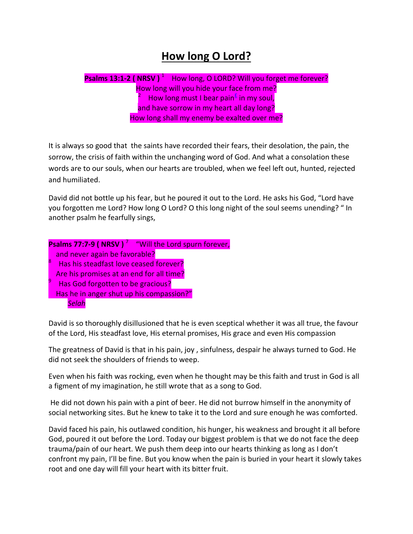## **How long O Lord?**

Psalms 13:1-2 ( NRSV )<sup>1</sup> How long, O LORD? Will you forget me forever? How long will you hide your face from me? 2 How long must I bear pain<sup>f</sup> in my soul, and have sorrow in my heart all day long? How long shall my enemy be exalted over me?

It is always so good that the saints have recorded their fears, their desolation, the pain, the sorrow, the crisis of faith within the unchanging word of God. And what a consolation these words are to our souls, when our hearts are troubled, when we feel left out, hunted, rejected and humiliated.

David did not bottle up his fear, but he poured it out to the Lord. He asks his God, "Lord have you forgotten me Lord? How long O Lord? O this long night of the soul seems unending? " In another psalm he fearfully sings,

| <b>Psalms 77:7-9 ( NRSV )</b> <sup>/</sup> "Will the Lord spurn forever, |                                          |  |
|--------------------------------------------------------------------------|------------------------------------------|--|
| 8                                                                        | and never again be favorable?            |  |
|                                                                          | Has his steadfast love ceased forever?   |  |
|                                                                          | Are his promises at an end for all time? |  |
|                                                                          | Has God forgotten to be gracious?        |  |
| Has he in anger shut up his compassion?"                                 |                                          |  |
|                                                                          | Selah                                    |  |

David is so thoroughly disillusioned that he is even sceptical whether it was all true, the favour of the Lord, His steadfast love, His eternal promises, His grace and even His compassion

The greatness of David is that in his pain, joy , sinfulness, despair he always turned to God. He did not seek the shoulders of friends to weep.

Even when his faith was rocking, even when he thought may be this faith and trust in God is all a figment of my imagination, he still wrote that as a song to God.

He did not down his pain with a pint of beer. He did not burrow himself in the anonymity of social networking sites. But he knew to take it to the Lord and sure enough he was comforted.

David faced his pain, his outlawed condition, his hunger, his weakness and brought it all before God, poured it out before the Lord. Today our biggest problem is that we do not face the deep trauma/pain of our heart. We push them deep into our hearts thinking as long as I don't confront my pain, I'll be fine. But you know when the pain is buried in your heart it slowly takes root and one day will fill your heart with its bitter fruit.